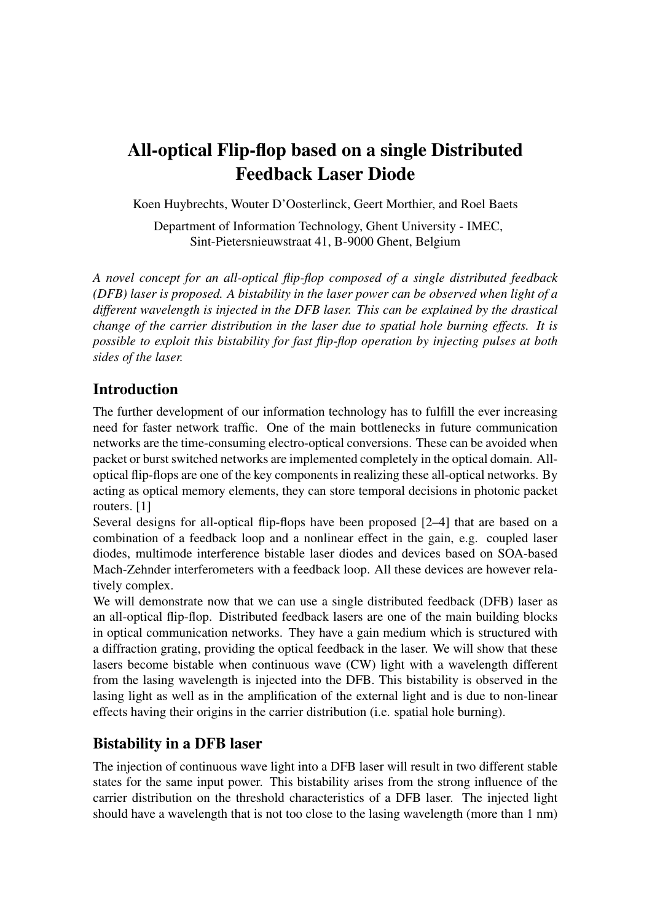# All-optical Flip-flop based on a single Distributed Feedback Laser Diode

Koen Huybrechts, Wouter D'Oosterlinck, Geert Morthier, and Roel Baets

Department of Information Technology, Ghent University - IMEC, Sint-Pietersnieuwstraat 41, B-9000 Ghent, Belgium

*A novel concept for an all-optical flip-flop composed of a single distributed feedback (DFB) laser is proposed. A bistability in the laser power can be observed when light of a different wavelength is injected in the DFB laser. This can be explained by the drastical change of the carrier distribution in the laser due to spatial hole burning effects. It is possible to exploit this bistability for fast flip-flop operation by injecting pulses at both sides of the laser.*

# Introduction

The further development of our information technology has to fulfill the ever increasing need for faster network traffic. One of the main bottlenecks in future communication networks are the time-consuming electro-optical conversions. These can be avoided when packet or burst switched networks are implemented completely in the optical domain. Alloptical flip-flops are one of the key components in realizing these all-optical networks. By acting as optical memory elements, they can store temporal decisions in photonic packet routers. [1]

Several designs for all-optical flip-flops have been proposed [2–4] that are based on a combination of a feedback loop and a nonlinear effect in the gain, e.g. coupled laser diodes, multimode interference bistable laser diodes and devices based on SOA-based Mach-Zehnder interferometers with a feedback loop. All these devices are however relatively complex.

We will demonstrate now that we can use a single distributed feedback (DFB) laser as an all-optical flip-flop. Distributed feedback lasers are one of the main building blocks in optical communication networks. They have a gain medium which is structured with a diffraction grating, providing the optical feedback in the laser. We will show that these lasers become bistable when continuous wave (CW) light with a wavelength different from the lasing wavelength is injected into the DFB. This bistability is observed in the lasing light as well as in the amplification of the external light and is due to non-linear effects having their origins in the carrier distribution (i.e. spatial hole burning).

# Bistability in a DFB laser

The injection of continuous wave light into a DFB laser will result in two different stable states for the same input power. This bistability arises from the strong influence of the carrier distribution on the threshold characteristics of a DFB laser. The injected light should have a wavelength that is not too close to the lasing wavelength (more than 1 nm)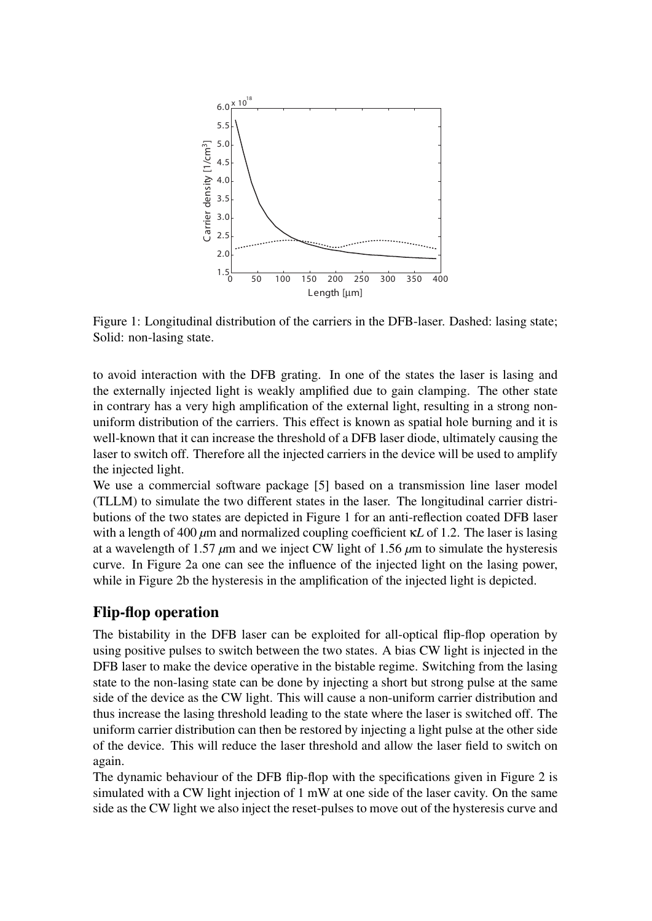

Figure 1: Longitudinal distribution of the carriers in the DFB-laser. Dashed: lasing state; Solid: non-lasing state.

to avoid interaction with the DFB grating. In one of the states the laser is lasing and the externally injected light is weakly amplified due to gain clamping. The other state in contrary has a very high amplification of the external light, resulting in a strong nonuniform distribution of the carriers. This effect is known as spatial hole burning and it is well-known that it can increase the threshold of a DFB laser diode, ultimately causing the laser to switch off. Therefore all the injected carriers in the device will be used to amplify the injected light.

We use a commercial software package [5] based on a transmission line laser model (TLLM) to simulate the two different states in the laser. The longitudinal carrier distributions of the two states are depicted in Figure 1 for an anti-reflection coated DFB laser with a length of 400 *µ*m and normalized coupling coefficient κ*L* of 1.2. The laser is lasing at a wavelength of 1.57 *µ*m and we inject CW light of 1.56 *µ*m to simulate the hysteresis curve. In Figure 2a one can see the influence of the injected light on the lasing power, while in Figure 2b the hysteresis in the amplification of the injected light is depicted.

#### Flip-flop operation

The bistability in the DFB laser can be exploited for all-optical flip-flop operation by using positive pulses to switch between the two states. A bias CW light is injected in the DFB laser to make the device operative in the bistable regime. Switching from the lasing state to the non-lasing state can be done by injecting a short but strong pulse at the same side of the device as the CW light. This will cause a non-uniform carrier distribution and thus increase the lasing threshold leading to the state where the laser is switched off. The uniform carrier distribution can then be restored by injecting a light pulse at the other side of the device. This will reduce the laser threshold and allow the laser field to switch on again.

The dynamic behaviour of the DFB flip-flop with the specifications given in Figure 2 is simulated with a CW light injection of 1 mW at one side of the laser cavity. On the same side as the CW light we also inject the reset-pulses to move out of the hysteresis curve and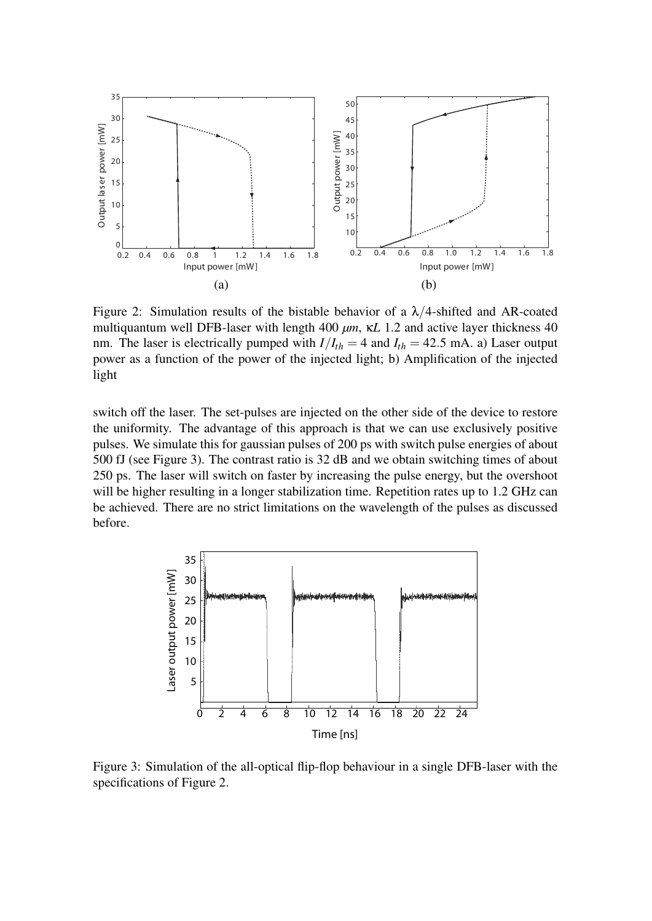

Figure 2: Simulation results of the bistable behavior of a  $\lambda/4$ -shifted and AR-coated multiquantum well DFB-laser with length 400 *µm*, κ*L* 1.2 and active layer thickness 40 nm. The laser is electrically pumped with  $I/I_{th} = 4$  and  $I_{th} = 42.5$  mA. a) Laser output power as a function of the power of the injected light; b) Amplification of the injected light

switch off the laser. The set-pulses are injected on the other side of the device to restore the uniformity. The advantage of this approach is that we can use exclusively positive pulses. We simulate this for gaussian pulses of 200 ps with switch pulse energies of about 500 fJ (see Figure 3). The contrast ratio is 32 dB and we obtain switching times of about 250 ps. The laser will switch on faster by increasing the pulse energy, but the overshoot will be higher resulting in a longer stabilization time. Repetition rates up to 1.2 GHz can be achieved. There are no strict limitations on the wavelength of the pulses as discussed before.



Figure 3: Simulation of the all-optical flip-flop behaviour in a single DFB-laser with the specifications of Figure 2.